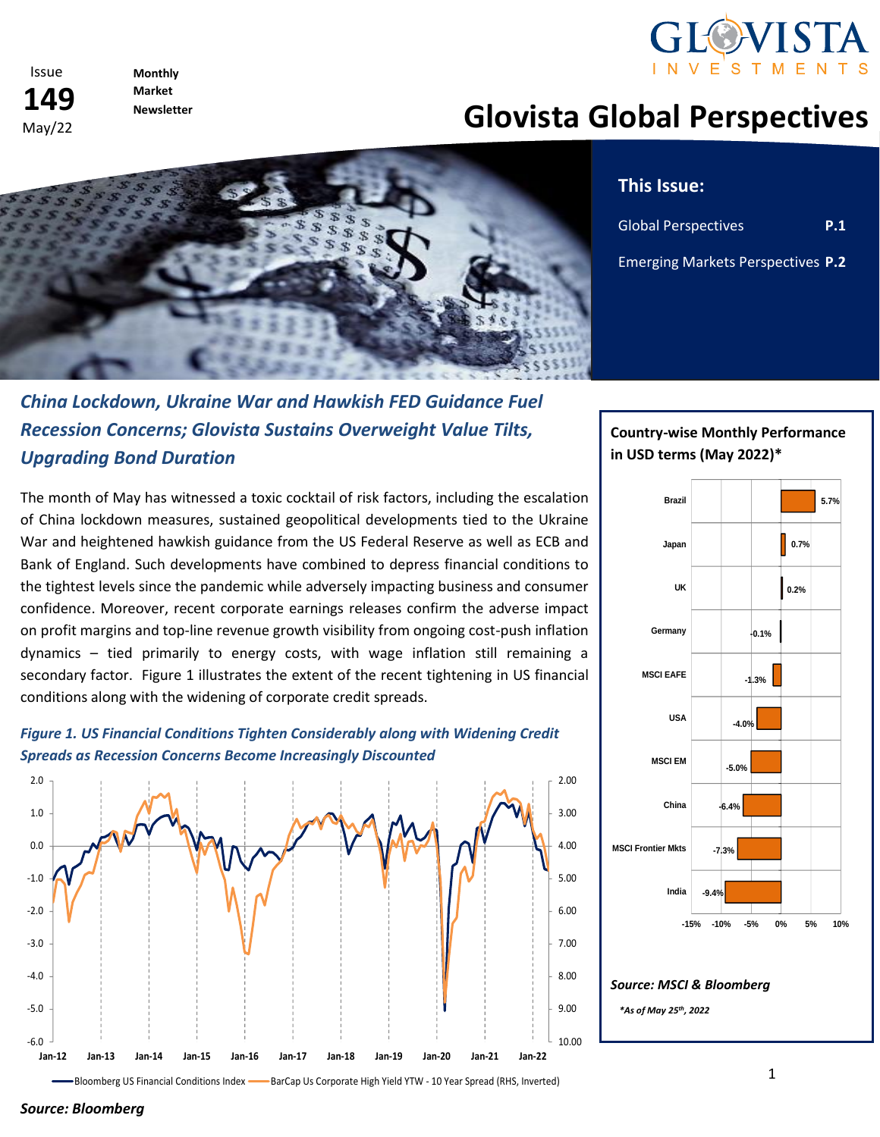



**Monthly Market Newsletter** 

# **Glovista Global Perspectives**



#### **This Issue:**

 $\mathbb{R}^n$ 

| <b>Global Perspectives</b>        | <b>P.1</b> |
|-----------------------------------|------------|
| Emerging Markets Perspectives P.2 |            |

# *China Lockdown, Ukraine War and Hawkish FED Guidance Fuel Recession Concerns; Glovista Sustains Overweight Value Tilts, Upgrading Bond Duration*

The month of May has witnessed a toxic cocktail of risk factors, including the escalation of China lockdown measures, sustained geopolitical developments tied to the Ukraine War and heightened hawkish guidance from the US Federal Reserve as well as ECB and Bank of England. Such developments have combined to depress financial conditions to the tightest levels since the pandemic while adversely impacting business and consumer confidence. Moreover, recent corporate earnings releases confirm the adverse impact on profit margins and top-line revenue growth visibility from ongoing cost-push inflation dynamics – tied primarily to energy costs, with wage inflation still remaining a secondary factor. Figure 1 illustrates the extent of the recent tightening in US financial conditions along with the widening of corporate credit spreads.



*Figure 1. US Financial Conditions Tighten Considerably along with Widening Credit Spreads as Recession Concerns Become Increasingly Discounted*

## **Country-wise Monthly Performance in USD terms (May 2022)\***



Bloomberg US Financial Conditions Index - BarCap Us Corporate High Yield YTW - 10 Year Spread (RHS, Inverted)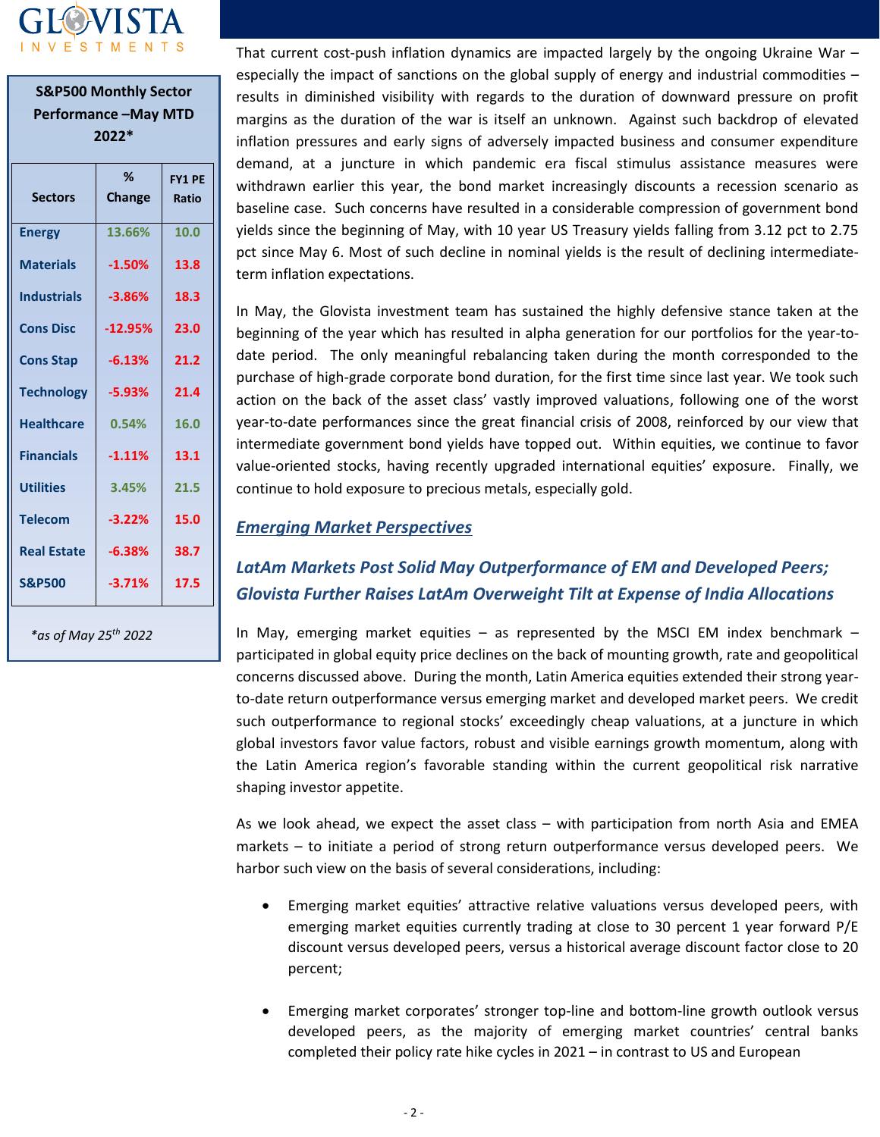

| <b>S&amp;P500 Monthly Sector</b><br><b>Performance-May MTD</b><br>2022* |             |                        |
|-------------------------------------------------------------------------|-------------|------------------------|
| <b>Sectors</b>                                                          | %<br>Change | <b>FY1 PE</b><br>Ratio |
| <b>Energy</b>                                                           | 13.66%      | 10.0                   |
| <b>Materials</b>                                                        | $-1.50%$    | 13.8                   |
| <b>Industrials</b>                                                      | $-3.86%$    | 18.3                   |
| <b>Cons Disc</b>                                                        | $-12.95%$   | 23.0                   |
| <b>Cons Stap</b>                                                        | $-6.13%$    | 21.2                   |
| <b>Technology</b>                                                       | $-5.93%$    | 21.4                   |
| <b>Healthcare</b>                                                       | 0.54%       | 16.0                   |
| <b>Financials</b>                                                       | $-1.11%$    | 13.1                   |
| <b>Utilities</b>                                                        | 3.45%       | 21.5                   |
| <b>Telecom</b>                                                          | $-3.22%$    | 15.0                   |
| <b>Real Estate</b>                                                      | $-6.38%$    | 38.7                   |
| <b>S&amp;P500</b>                                                       | $-3.71%$    | 17.5                   |

*\*as of May 25 th 2022*

That current cost-push inflation dynamics are impacted largely by the ongoing Ukraine War – especially the impact of sanctions on the global supply of energy and industrial commodities – results in diminished visibility with regards to the duration of downward pressure on profit margins as the duration of the war is itself an unknown. Against such backdrop of elevated inflation pressures and early signs of adversely impacted business and consumer expenditure demand, at a juncture in which pandemic era fiscal stimulus assistance measures were withdrawn earlier this year, the bond market increasingly discounts a recession scenario as baseline case. Such concerns have resulted in a considerable compression of government bond yields since the beginning of May, with 10 year US Treasury yields falling from 3.12 pct to 2.75 pct since May 6. Most of such decline in nominal yields is the result of declining intermediateterm inflation expectations.

In May, the Glovista investment team has sustained the highly defensive stance taken at the beginning of the year which has resulted in alpha generation for our portfolios for the year-todate period. The only meaningful rebalancing taken during the month corresponded to the purchase of high-grade corporate bond duration, for the first time since last year. We took such action on the back of the asset class' vastly improved valuations, following one of the worst year-to-date performances since the great financial crisis of 2008, reinforced by our view that intermediate government bond yields have topped out. Within equities, we continue to favor value-oriented stocks, having recently upgraded international equities' exposure. Finally, we continue to hold exposure to precious metals, especially gold.

#### *Emerging Market Perspectives*

### *LatAm Markets Post Solid May Outperformance of EM and Developed Peers; Glovista Further Raises LatAm Overweight Tilt at Expense of India Allocations*

In May, emerging market equities  $-$  as represented by the MSCI EM index benchmark  $$ participated in global equity price declines on the back of mounting growth, rate and geopolitical concerns discussed above. During the month, Latin America equities extended their strong yearto-date return outperformance versus emerging market and developed market peers. We credit such outperformance to regional stocks' exceedingly cheap valuations, at a juncture in which global investors favor value factors, robust and visible earnings growth momentum, along with the Latin America region's favorable standing within the current geopolitical risk narrative shaping investor appetite.

As we look ahead, we expect the asset class – with participation from north Asia and EMEA markets – to initiate a period of strong return outperformance versus developed peers. We harbor such view on the basis of several considerations, including:

- Emerging market equities' attractive relative valuations versus developed peers, with emerging market equities currently trading at close to 30 percent 1 year forward P/E discount versus developed peers, versus a historical average discount factor close to 20 percent;
- Emerging market corporates' stronger top-line and bottom-line growth outlook versus developed peers, as the majority of emerging market countries' central banks completed their policy rate hike cycles in 2021 – in contrast to US and European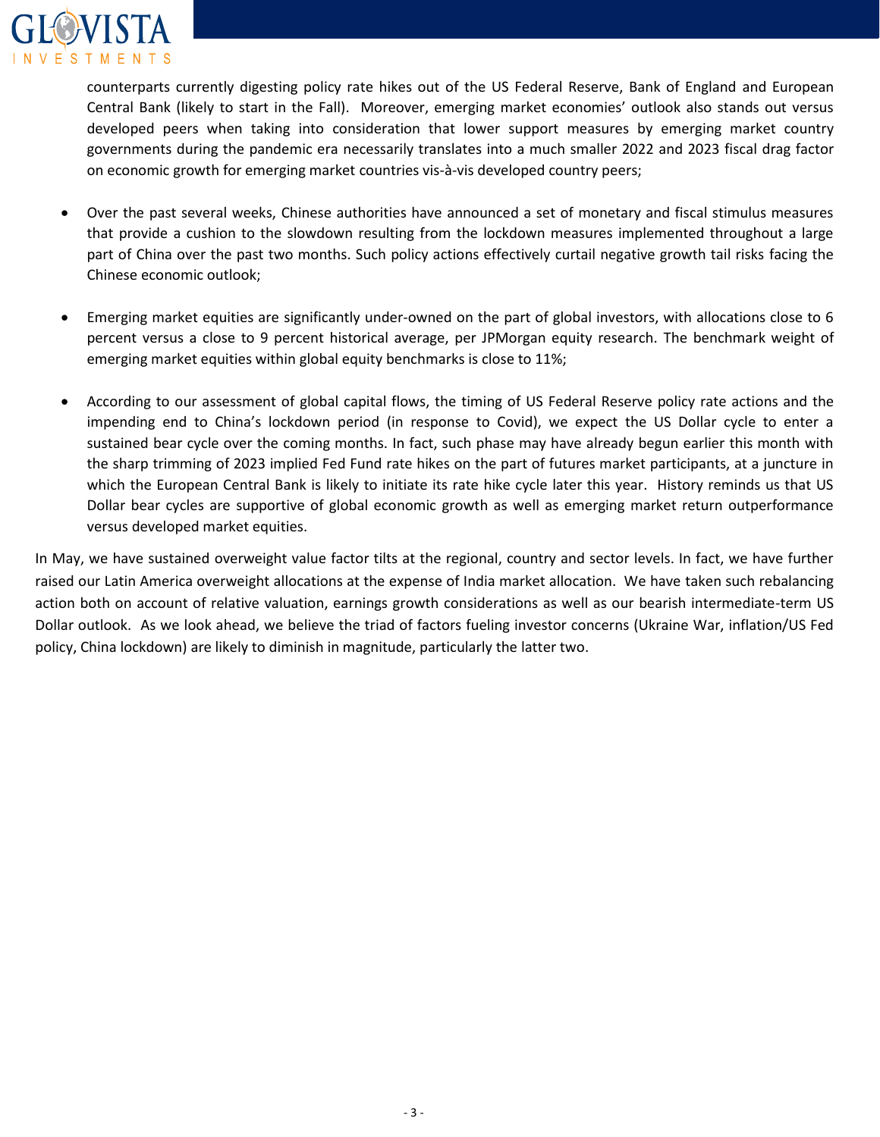

counterparts currently digesting policy rate hikes out of the US Federal Reserve, Bank of England and European Central Bank (likely to start in the Fall). Moreover, emerging market economies' outlook also stands out versus developed peers when taking into consideration that lower support measures by emerging market country governments during the pandemic era necessarily translates into a much smaller 2022 and 2023 fiscal drag factor on economic growth for emerging market countries vis-à-vis developed country peers;

- Over the past several weeks, Chinese authorities have announced a set of monetary and fiscal stimulus measures that provide a cushion to the slowdown resulting from the lockdown measures implemented throughout a large part of China over the past two months. Such policy actions effectively curtail negative growth tail risks facing the Chinese economic outlook;
- Emerging market equities are significantly under-owned on the part of global investors, with allocations close to 6 percent versus a close to 9 percent historical average, per JPMorgan equity research. The benchmark weight of emerging market equities within global equity benchmarks is close to 11%;
- According to our assessment of global capital flows, the timing of US Federal Reserve policy rate actions and the impending end to China's lockdown period (in response to Covid), we expect the US Dollar cycle to enter a sustained bear cycle over the coming months. In fact, such phase may have already begun earlier this month with the sharp trimming of 2023 implied Fed Fund rate hikes on the part of futures market participants, at a juncture in which the European Central Bank is likely to initiate its rate hike cycle later this year. History reminds us that US Dollar bear cycles are supportive of global economic growth as well as emerging market return outperformance versus developed market equities.

In May, we have sustained overweight value factor tilts at the regional, country and sector levels. In fact, we have further raised our Latin America overweight allocations at the expense of India market allocation. We have taken such rebalancing action both on account of relative valuation, earnings growth considerations as well as our bearish intermediate-term US Dollar outlook. As we look ahead, we believe the triad of factors fueling investor concerns (Ukraine War, inflation/US Fed policy, China lockdown) are likely to diminish in magnitude, particularly the latter two.